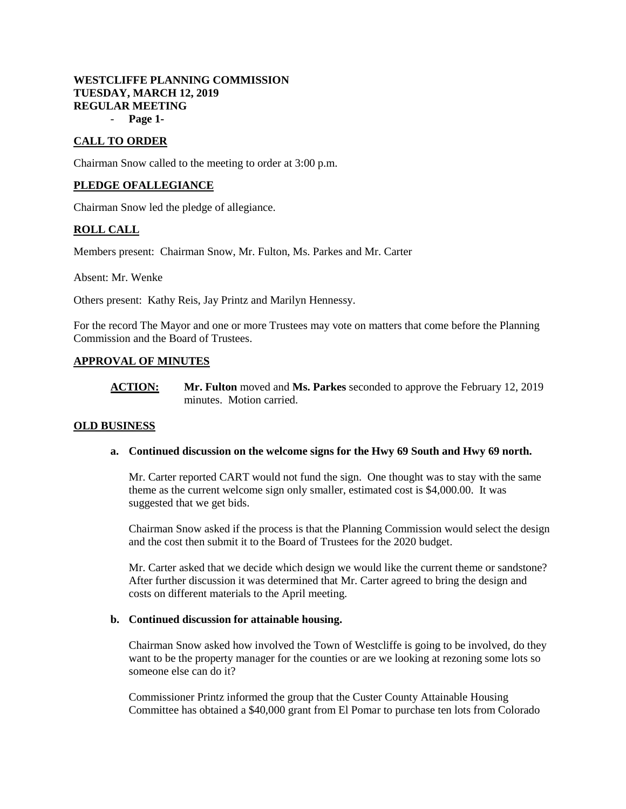# **WESTCLIFFE PLANNING COMMISSION TUESDAY, MARCH 12, 2019 REGULAR MEETING**

- **Page 1-**

## **CALL TO ORDER**

Chairman Snow called to the meeting to order at 3:00 p.m.

### **PLEDGE OFALLEGIANCE**

Chairman Snow led the pledge of allegiance.

### **ROLL CALL**

Members present: Chairman Snow, Mr. Fulton, Ms. Parkes and Mr. Carter

Absent: Mr. Wenke

Others present: Kathy Reis, Jay Printz and Marilyn Hennessy.

For the record The Mayor and one or more Trustees may vote on matters that come before the Planning Commission and the Board of Trustees.

### **APPROVAL OF MINUTES**

**ACTION: Mr. Fulton** moved and **Ms. Parkes** seconded to approve the February 12, 2019 minutes. Motion carried.

### **OLD BUSINESS**

#### **a. Continued discussion on the welcome signs for the Hwy 69 South and Hwy 69 north.**

Mr. Carter reported CART would not fund the sign. One thought was to stay with the same theme as the current welcome sign only smaller, estimated cost is \$4,000.00. It was suggested that we get bids.

Chairman Snow asked if the process is that the Planning Commission would select the design and the cost then submit it to the Board of Trustees for the 2020 budget.

Mr. Carter asked that we decide which design we would like the current theme or sandstone? After further discussion it was determined that Mr. Carter agreed to bring the design and costs on different materials to the April meeting.

#### **b. Continued discussion for attainable housing.**

Chairman Snow asked how involved the Town of Westcliffe is going to be involved, do they want to be the property manager for the counties or are we looking at rezoning some lots so someone else can do it?

Commissioner Printz informed the group that the Custer County Attainable Housing Committee has obtained a \$40,000 grant from El Pomar to purchase ten lots from Colorado